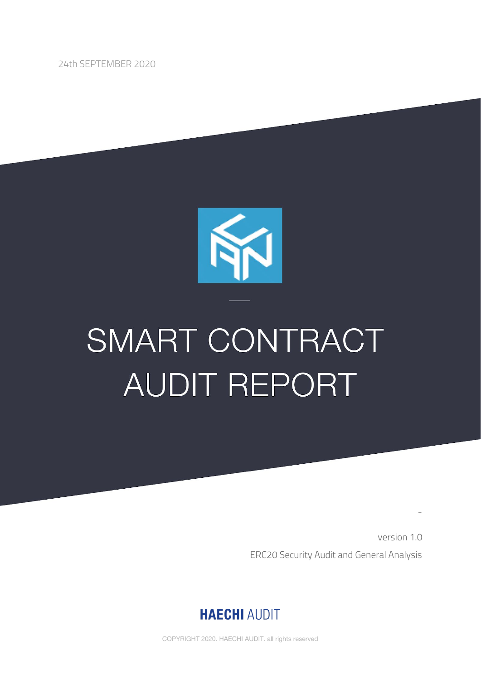24th SEPTEMBER 2020



# SMART CONTRACT **AUDIT REPORT**

version 1.0 ERC20 Security Audit and General Analysis

-



COPYRIGHT 2020. HAECHI AUDIT. all rights reserved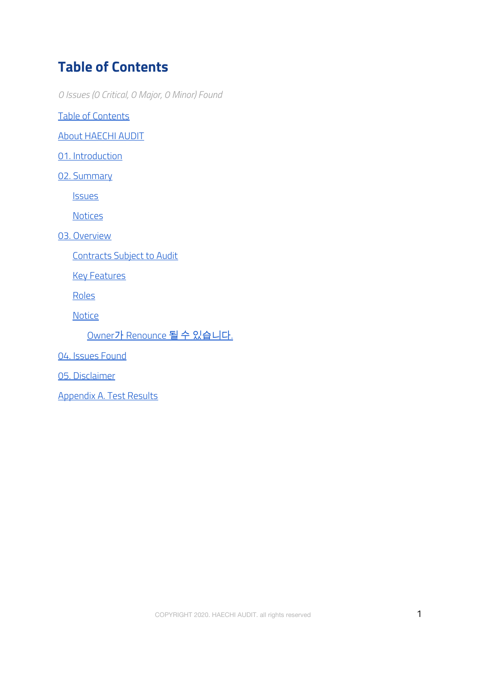# <span id="page-1-0"></span>**Table of Contents**

*0 Issues (0 Critical, 0 Major, 0 Minor) Found*

Table of [Contents](#page-1-0)

About [HAECHI](#page-2-0) AUDIT

01. [Introduction](#page-2-1)

02. [Summary](#page-4-0)

**[Issues](#page-4-1)** 

**[Notices](#page-4-2)** 

03. [Overview](#page-5-0)

[Contracts](#page-5-1) Subject to Audit

Key [Features](#page-5-2)

[Roles](#page-6-0)

**[Notice](#page-7-0)** 

Owner가 [Renounce](#page-7-1) 될 수 있습니다.

04. [Issues](#page-8-0) Found

05. [Disclaimer](#page-9-0)

[Appendix](#page-10-0) A. Test Results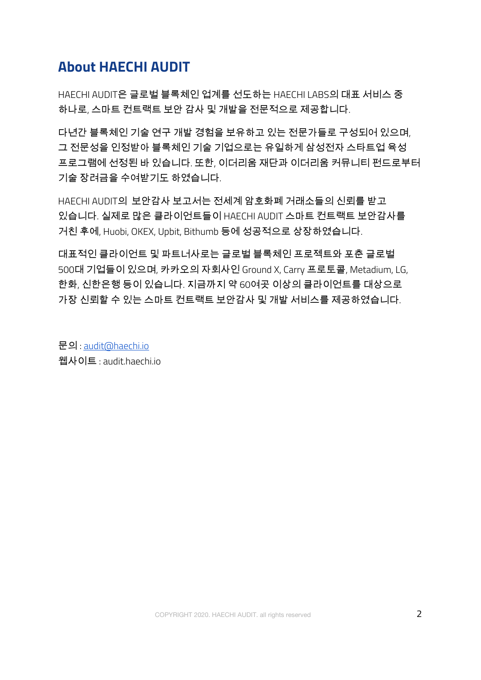## <span id="page-2-0"></span>**About HAECHI AUDIT**

HAECHI AUDIT은 글로벌 블록체인 업계를 선도하는 HAECHI LABS의 대표 서비스 중 하나로, 스마트 컨트랙트 보안 감사 및 개발을 전문적으로 제공합니다.

다년간 블록체인 기술 연구 개발 경험을 보유하고 있는 전문가들로 구성되어 있으며, 그 전문성을 인정받아 블록체인 기술 기업으로는 유일하게 삼성전자 스타트업 육성 프로그램에 선정된 바 있습니다. 또한, 이더리움 재단과 이더리움 커뮤니티 펀드로부터 기술 장려금을 수여받기도 하였습니다.

HAECHI AUDIT의 보안감사 보고서는 전세계 암호화폐 거래소들의 신뢰를 받고 있습니다. 실제로 많은 클라이언트들이 HAECHI AUDIT 스마트 컨트랙트 보안감사를 거친 후에, Huobi, OKEX, Upbit, Bithumb 등에 성공적으로 상장하였습니다.

대표적인 클라이언트 및 파트너사로는 글로벌 블록체인 프로젝트와 포춘 글로벌 500대 기업들이 있으며, 카카오의 자회사인 Ground X, Carry 프로토콜, Metadium, LG, 한화, 신한은행 등이 있습니다. 지금까지 약 60여곳 이상의 클라이언트를 대상으로 가장 신뢰할 수 있는 스마트 컨트랙트 보안감사 및 개발 서비스를 제공하였습니다.

<span id="page-2-1"></span>문의 : [audit@haechi.io](mailto:audit@haechi.io) 웹사이트 : audit.haechi.io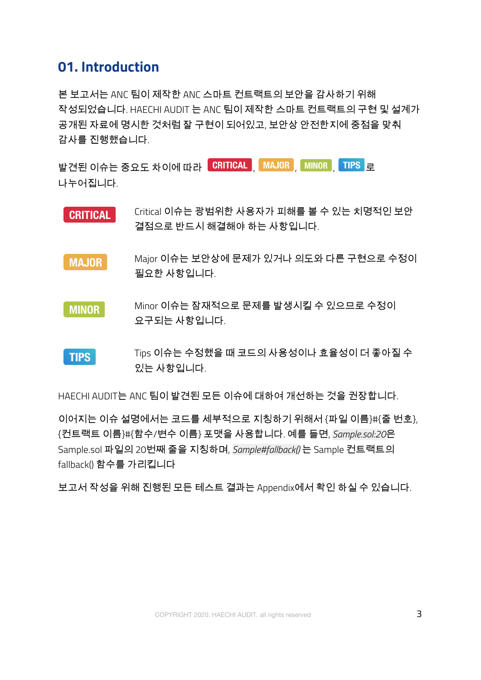## **01. Introduction**

본 보고서는 ANC 팀이 제작한 ANC 스마트 컨트랙트의 보안을 감사하기 위해 작성되었습니다. HAECHI AUDIT 는 ANC 팀이 제작한 스마트 컨트랙트의 구현 및 설계가 공개된 자료에 명시한 것처럼 잘 구현이 되어있고, 보안상 안전한지에 중점을 맞춰 감사를 진행했습니다.

발견된 이슈는 중요도 차이에 따라 <mark>, CRITICAL , MAJOR , MINOR , TIPS ㄹ</mark> 나누어집니다.

| <b>CRITICAL</b> | Critical 이슈는 광범위한 사용자가 피해를 볼 수 있는 치명적인 보안<br>결점으로 반드시 해결해야 하는 사항입니다. |
|-----------------|----------------------------------------------------------------------|
| <b>MAJOR</b>    | Major 이슈는 보안상에 문제가 있거나 의도와 다른 구현으로 수정이<br>필요한 사항입니다.                 |
| <b>MINOR</b>    | Minor 이슈는 잠재적으로 문제를 발생시킬 수 있으므로 수정이<br>요구되는 사항입니다.                   |
| <b>TIPS</b>     | Tips 이슈는 수정했을 때 코드의 사용성이나 효율성이 더 좋아질 수<br>있는 사항입니다.                  |

HAECHI AUDIT는 ANC 팀이 발견된 모든 이슈에 대하여 개선하는 것을 권장합니다.

이어지는 이슈 설명에서는 코드를 세부적으로 지칭하기 위해서 {파일 이름}#{줄 번호}, {컨트랙트 이름}#{함수/변수 이름} 포맷을 사용합니다. 예를 들면, *Sample.sol:20*은 Sample.sol 파일의 20번째 줄을 지칭하며, *Sample#fallback()* 는 Sample 컨트랙트의 fallback() 함수를 가리킵니다

보고서 작성을 위해 진행된 모든 테스트 결과는 Appendix에서 확인 하실 수 있습니다.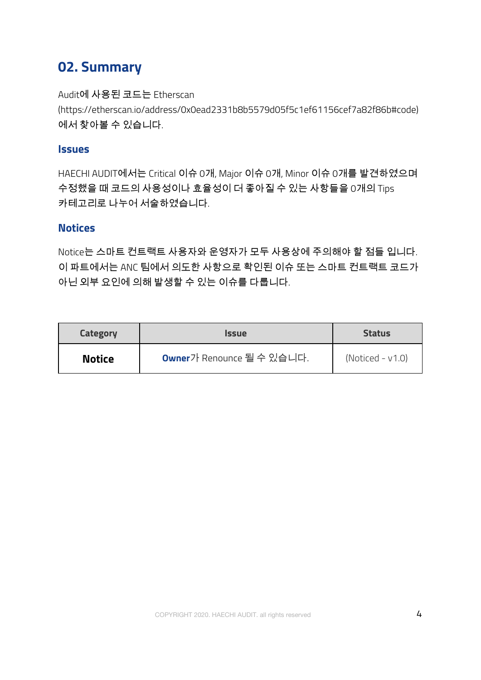# <span id="page-4-0"></span>**02. Summary**

Audit에 사용된 코드는 Etherscan (https://etherscan.io/address/0x0ead2331b8b5579d05f5c1ef61156cef7a82f86b#code) 에서 찾아볼 수 있습니다.

#### <span id="page-4-1"></span>**Issues**

HAECHI AUDIT에서는 Critical 이슈 0개, Major 이슈 0개, Minor 이슈 0개를 발견하였으며 수정했을 때 코드의 사용성이나 효율성이 더 좋아질 수 있는 사항들을 0개의 Tips 카테고리로 나누어 서술하였습니다.

#### <span id="page-4-2"></span>**Notices**

Notice는 스마트 컨트랙트 사용자와 운영자가 모두 사용상에 주의해야 할 점들 입니다. 이 파트에서는 ANC 팀에서 의도한 사항으로 확인된 이슈 또는 스마트 컨트랙트 코드가 아닌 외부 요인에 의해 발생할 수 있는 이슈를 다룹니다.

| Category | <b>Issue</b>              | <b>Status</b>      |  |
|----------|---------------------------|--------------------|--|
| Notice   | Owner가 Renounce 될 수 있습니다. | $(Noticed - v1.0)$ |  |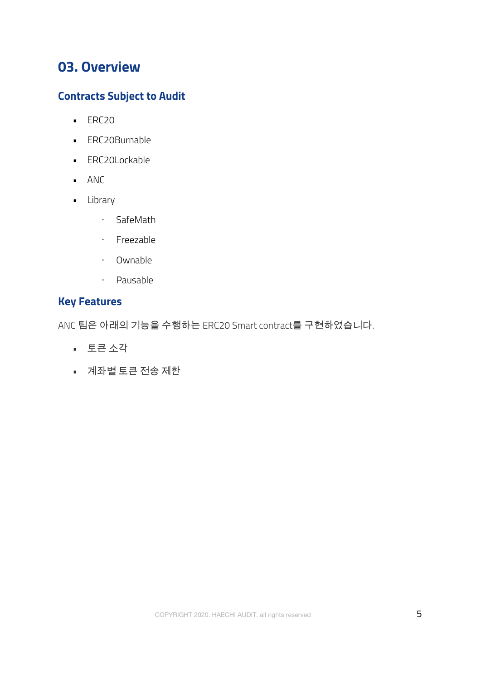# <span id="page-5-0"></span>**03. Overview**

## <span id="page-5-1"></span>**Contracts Subject to Audit**

- ERC20
- ERC20Burnable
- ERC20Lockable
- ANC
- Library
	- ‧ SafeMath
	- ‧ Freezable
	- ‧ Ownable
	- ‧ Pausable

### <span id="page-5-2"></span>**Key Features**

ANC 팀은 아래의 기능을 수행하는 ERC20 Smart contract를 구현하였습니다.

- 토큰 소각
- 계좌별 토큰 전송 제한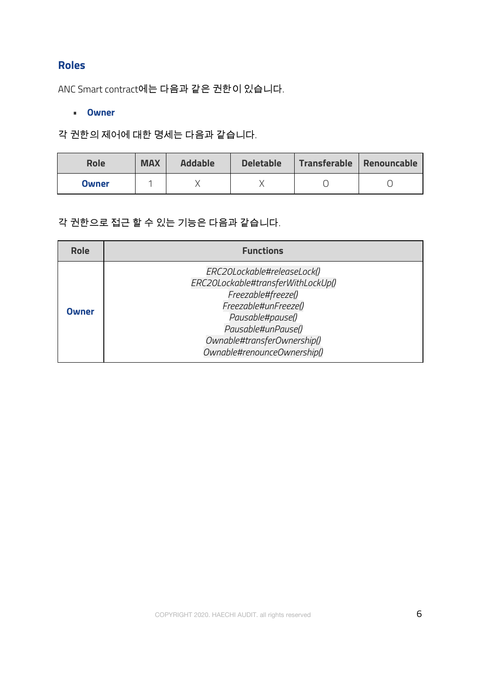## <span id="page-6-0"></span>**Roles**

ANC Smart contract에는 다음과 같은 권한이 있습니다.

#### • **Owner**

각 권한의 제어에 대한 명세는 다음과 같습니다.

| <b>Role</b> | <b>MAX</b> | <b>Addable</b> | <b>Deletable</b> | Transferable   Renouncable |  |
|-------------|------------|----------------|------------------|----------------------------|--|
| Owner       |            |                |                  |                            |  |

## 각 권한으로 접근 할 수 있는 기능은 다음과 같습니다.

| <b>Role</b>  | <b>Functions</b>                                                                                                                                                                                                        |  |  |  |  |
|--------------|-------------------------------------------------------------------------------------------------------------------------------------------------------------------------------------------------------------------------|--|--|--|--|
| <b>Owner</b> | ERC20Lockable#releaseLock()<br>ERC20Lockable#transferWithLockUp()<br>Freezable#freeze()<br>Freezable#unFreeze()<br>Pausable#pause()<br>Pausable#unPause()<br>Ownable#transferOwnership()<br>Ownable#renounceOwnership() |  |  |  |  |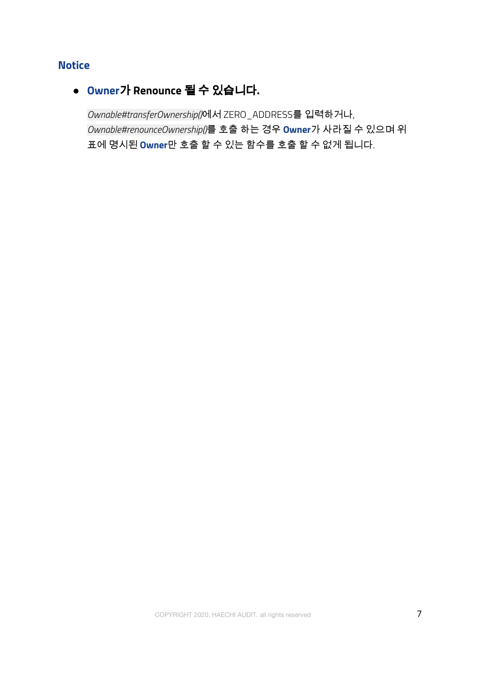## <span id="page-7-0"></span>**Notice**

# <span id="page-7-1"></span>**● Owner**가 **Renounce** 될 수 있습니다**.**

*Ownable#transferOwnership()*에서 ZERO\_ADDRESS를 입력하거나, *Ownable#renounceOwnership()*를 호출 하는 경우 **Owner**가 사라질 수 있으며 위 표에 명시된 **Owner**만 호출 할 수 있는 함수를 호출 할 수 없게 됩니다.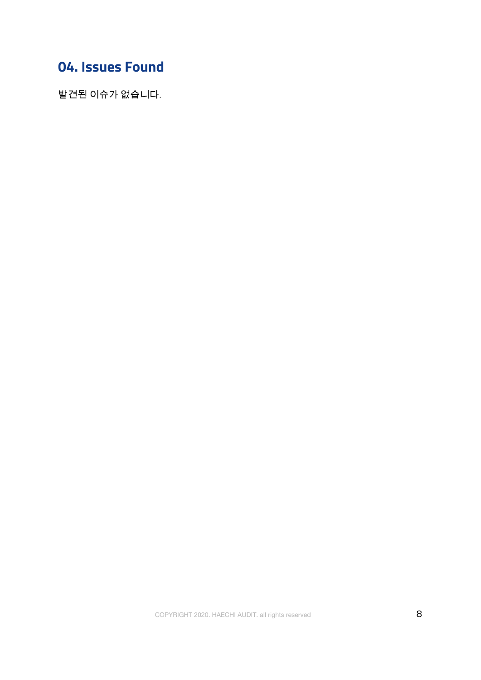# <span id="page-8-0"></span>**04. Issues Found**

발견된 이슈가 없습니다.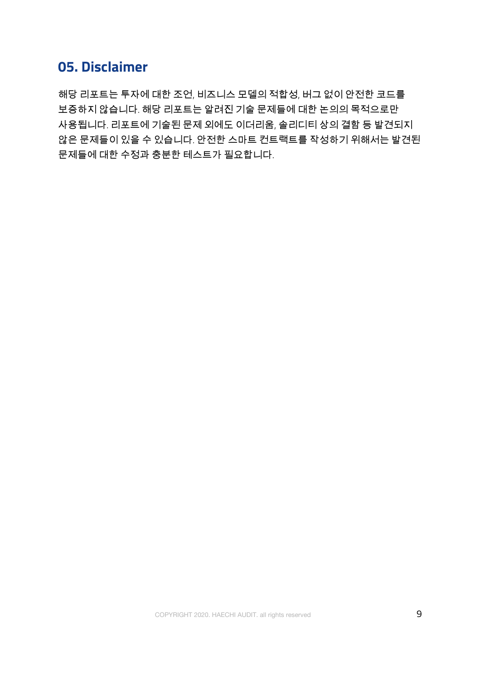## <span id="page-9-0"></span>**05. Disclaimer**

해당 리포트는 투자에 대한 조언, 비즈니스 모델의 적합성, 버그 없이 안전한 코드를 보증하지 않습니다. 해당 리포트는 알려진 기술 문제들에 대한 논의의 목적으로만 사용됩니다. 리포트에 기술된 문제 외에도 이더리움, 솔리디티 상의 결함 등 발견되지 않은 문제들이 있을 수 있습니다. 안전한 스마트 컨트랙트를 작성하기 위해서는 발견된 문제들에 대한 수정과 충분한 테스트가 필요합니다.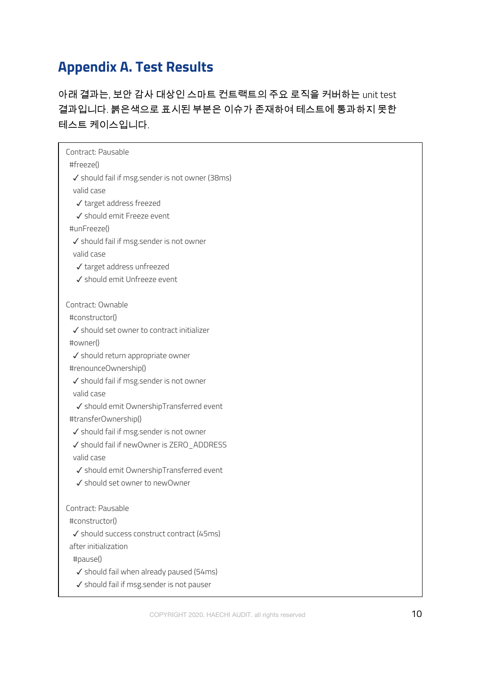# <span id="page-10-0"></span>**Appendix A. Test Results**

아래 결과는, 보안 감사 대상인 스마트 컨트랙트의 주요 로직을 커버하는 unit test 결과입니다. 붉은색으로 표시된 부분은 이슈가 존재하여 테스트에 통과하지 못한 테스트 케이스입니다.

| Contract: Pausable                                               |
|------------------------------------------------------------------|
| #freeze()                                                        |
| ✓ should fail if msg.sender is not owner (38ms)                  |
| valid case                                                       |
| ✔ target address freezed                                         |
| √ should emit Freeze event                                       |
| #unFreeze()                                                      |
| ✔ should fail if msg.sender is not owner                         |
| valid case                                                       |
| ✔ target address unfreezed                                       |
| √ should emit Unfreeze event                                     |
|                                                                  |
| Contract: Ownable                                                |
| #constructor()                                                   |
| √ should set owner to contract initializer                       |
| #owner()                                                         |
| √ should return appropriate owner                                |
| #renounceOwnership()                                             |
| √ should fail if msg.sender is not owner<br>valid case           |
|                                                                  |
| √ should emit OwnershipTransferred event                         |
| #transferOwnership()<br>√ should fail if msg.sender is not owner |
| √ should fail if newOwner is ZERO_ADDRESS                        |
| valid case                                                       |
| √ should emit OwnershipTransferred event                         |
| ✔ should set owner to newOwner                                   |
|                                                                  |
| Contract: Pausable                                               |
| #constructor()                                                   |
| √ should success construct contract (45ms)                       |
| after initialization                                             |
| #pause()                                                         |
| ✔ should fail when already paused (54ms)                         |
| √ should fail if msg.sender is not pauser                        |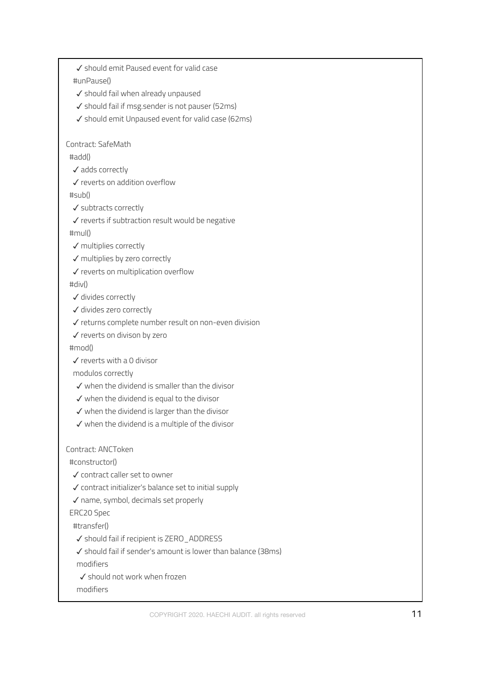✓ should emit Paused event for valid case #unPause()

✓ should fail when already unpaused

✓ should fail if msg.sender is not pauser (52ms)

✓ should emit Unpaused event for valid case (62ms)

Contract: SafeMath

#add()

✓ adds correctly

✓ reverts on addition overflow

#sub()

✓ subtracts correctly

✓ reverts if subtraction result would be negative

#mul()

✓ multiplies correctly

✓ multiplies by zero correctly

✓ reverts on multiplication overflow

#div()

✓ divides correctly

✓ divides zero correctly

✓ returns complete number result on non-even division

✓ reverts on divison by zero

#mod()

 $\checkmark$  reverts with a 0 divisor

modulos correctly

✓ when the dividend is smaller than the divisor

✓ when the dividend is equal to the divisor

✓ when the dividend is larger than the divisor

✓ when the dividend is a multiple of the divisor

Contract: ANCToken

#constructor()

✓ contract caller set to owner

✓ contract initializer's balance set to initial supply

✓ name, symbol, decimals set properly

ERC20 Spec

#transfer()

✓ should fail if recipient is ZERO\_ADDRESS

✓ should fail if sender's amount is lower than balance (38ms) modifiers

✓ should not work when frozen

modifiers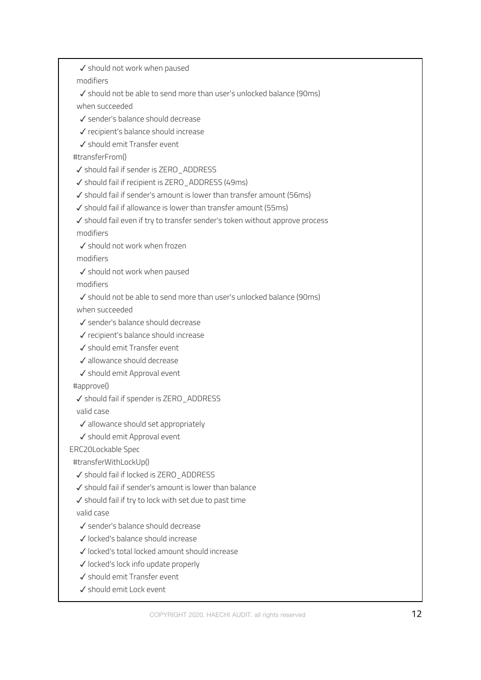✓ should not work when paused

modifiers

✓ should not be able to send more than user's unlocked balance (90ms)

when succeeded

✓ sender's balance should decrease

✓ recipient's balance should increase

✓ should emit Transfer event

#transferFrom()

- ✓ should fail if sender is ZERO\_ADDRESS
- ✓ should fail if recipient is ZERO\_ADDRESS (49ms)
- ✓ should fail if sender's amount is lower than transfer amount (56ms)
- ✓ should fail if allowance is lower than transfer amount (55ms)
- ✓ should fail even if try to transfer sender's token without approve process modifiers
- ✓ should not work when frozen

modifiers

✓ should not work when paused

modifiers

✓ should not be able to send more than user's unlocked balance (90ms)

when succeeded

- ✓ sender's balance should decrease
- ✓ recipient's balance should increase

✓ should emit Transfer event

- ✓ allowance should decrease
- ✓ should emit Approval event

#approve()

✓ should fail if spender is ZERO\_ADDRESS

valid case

- ✓ allowance should set appropriately
- ✓ should emit Approval event

ERC20Lockable Spec

#transferWithLockUp()

- ✓ should fail if locked is ZERO\_ADDRESS
- ✓ should fail if sender's amount is lower than balance
- ✓ should fail if try to lock with set due to past time

valid case

- ✓ sender's balance should decrease
- ✓ locked's balance should increase
- ✓ locked's total locked amount should increase
- ✓ locked's lock info update properly
- ✓ should emit Transfer event
- ✓ should emit Lock event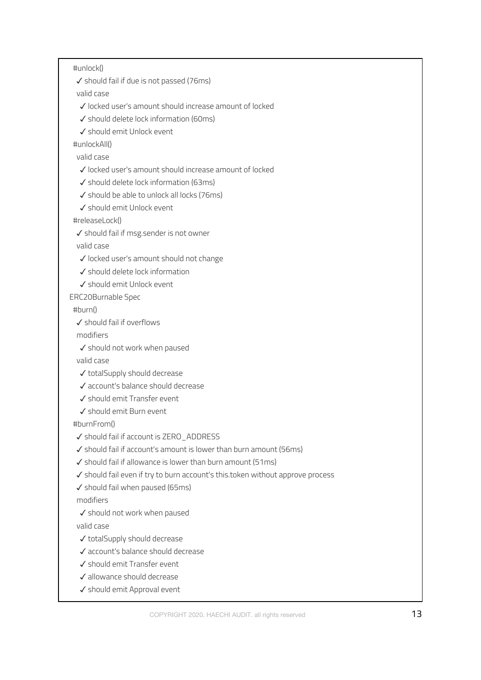#unlock()

✓ should fail if due is not passed (76ms)

valid case

- ✓ locked user's amount should increase amount of locked
- ✓ should delete lock information (60ms)
- ✓ should emit Unlock event

#unlockAll()

#### valid case

- ✓ locked user's amount should increase amount of locked
- ✓ should delete lock information (63ms)
- ✓ should be able to unlock all locks (76ms)
- ✓ should emit Unlock event

#### #releaseLock()

✓ should fail if msg.sender is not owner

valid case

- ✓ locked user's amount should not change
- ✓ should delete lock information
- ✓ should emit Unlock event
- ERC20Burnable Spec

#burn()

✓ should fail if overflows

modifiers

✓ should not work when paused

valid case

- ✓ totalSupply should decrease
- ✓ account's balance should decrease
- ✓ should emit Transfer event
- ✓ should emit Burn event

#burnFrom()

- ✓ should fail if account is ZERO\_ADDRESS
- ✓ should fail if account's amount is lower than burn amount (56ms)
- ✓ should fail if allowance is lower than burn amount (51ms)
- ✓ should fail even if try to burn account's this.token without approve process
- ✓ should fail when paused (65ms)

modifiers

✓ should not work when paused

valid case

- ✓ totalSupply should decrease
- ✓ account's balance should decrease
- ✓ should emit Transfer event
- ✓ allowance should decrease
- ✓ should emit Approval event